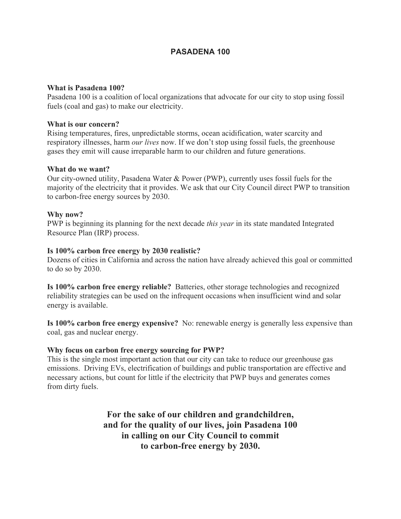# **PASADENA 100**

## **What is Pasadena 100?**

Pasadena 100 is a coalition of local organizations that advocate for our city to stop using fossil fuels (coal and gas) to make our electricity.

## **What is our concern?**

Rising temperatures, fires, unpredictable storms, ocean acidification, water scarcity and respiratory illnesses, harm *our lives* now. If we don't stop using fossil fuels, the greenhouse gases they emit will cause irreparable harm to our children and future generations.

## **What do we want?**

Our city-owned utility, Pasadena Water & Power (PWP), currently uses fossil fuels for the majority of the electricity that it provides. We ask that our City Council direct PWP to transition to carbon-free energy sources by 2030.

## **Why now?**

PWP is beginning its planning for the next decade *this year* in its state mandated Integrated Resource Plan (IRP) process.

## **Is 100% carbon free energy by 2030 realistic?**

Dozens of cities in California and across the nation have already achieved this goal or committed to do so by 2030.

**Is 100% carbon free energy reliable?** Batteries, other storage technologies and recognized reliability strategies can be used on the infrequent occasions when insufficient wind and solar energy is available.

**Is 100% carbon free energy expensive?** No: renewable energy is generally less expensive than coal, gas and nuclear energy.

## **Why focus on carbon free energy sourcing for PWP?**

This is the single most important action that our city can take to reduce our greenhouse gas emissions. Driving EVs, electrification of buildings and public transportation are effective and necessary actions, but count for little if the electricity that PWP buys and generates comes from dirty fuels.

> **For the sake of our children and grandchildren, and for the quality of our lives, join Pasadena 100 in calling on our City Council to commit to carbon-free energy by 2030.**